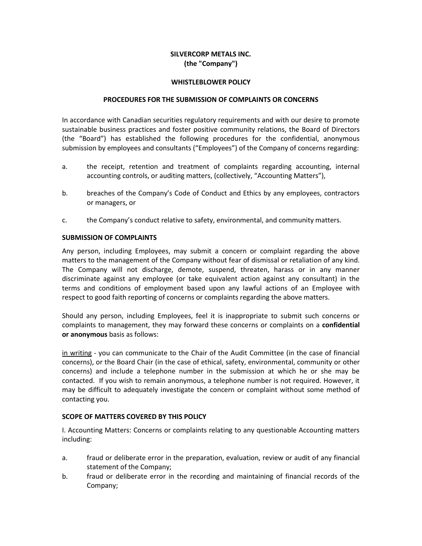# **SILVERCORP METALS INC. (the "Company")**

### **WHISTLEBLOWER POLICY**

#### **PROCEDURES FOR THE SUBMISSION OF COMPLAINTS OR CONCERNS**

In accordance with Canadian securities regulatory requirements and with our desire to promote sustainable business practices and foster positive community relations, the Board of Directors (the "Board") has established the following procedures for the confidential, anonymous submission by employees and consultants ("Employees") of the Company of concerns regarding:

- a. the receipt, retention and treatment of complaints regarding accounting, internal accounting controls, or auditing matters, (collectively, "Accounting Matters"),
- b. breaches of the Company's Code of Conduct and Ethics by any employees, contractors or managers, or
- c. the Company's conduct relative to safety, environmental, and community matters.

## **SUBMISSION OF COMPLAINTS**

Any person, including Employees, may submit a concern or complaint regarding the above matters to the management of the Company without fear of dismissal or retaliation of any kind. The Company will not discharge, demote, suspend, threaten, harass or in any manner discriminate against any employee (or take equivalent action against any consultant) in the terms and conditions of employment based upon any lawful actions of an Employee with respect to good faith reporting of concerns or complaints regarding the above matters.

Should any person, including Employees, feel it is inappropriate to submit such concerns or complaints to management, they may forward these concerns or complaints on a **confidential or anonymous** basis as follows:

in writing - you can communicate to the Chair of the Audit Committee (in the case of financial concerns), or the Board Chair (in the case of ethical, safety, environmental, community or other concerns) and include a telephone number in the submission at which he or she may be contacted. If you wish to remain anonymous, a telephone number is not required. However, it may be difficult to adequately investigate the concern or complaint without some method of contacting you.

## **SCOPE OF MATTERS COVERED BY THIS POLICY**

I. Accounting Matters: Concerns or complaints relating to any questionable Accounting matters including:

- a. fraud or deliberate error in the preparation, evaluation, review or audit of any financial statement of the Company;
- b. fraud or deliberate error in the recording and maintaining of financial records of the Company;